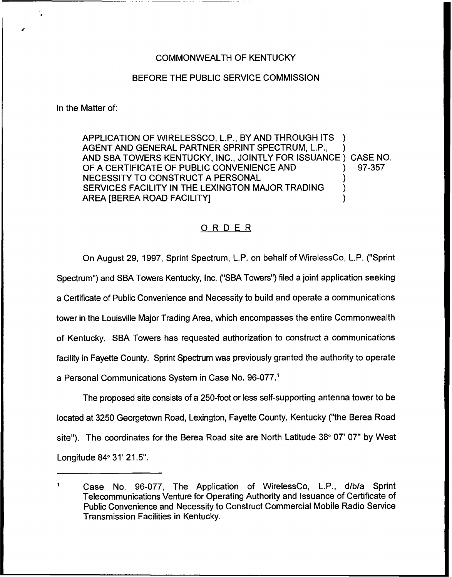## COMMONWEALTH OF KENTUCKY

## BEFORE THE PUBLIC SERVICE COMMISSION

In the Matter of:

APPLICATION OF WIRELESSCO, L.P., BY AND THROUGH ITS AGENT AND GENERAL PARTNER SPRINT SPECTRUM, L.P., AND SBA TOWERS KENTUCKY, INC., JOINTLY FOR ISSUANCE) CASE NO.<br>OF A CERTIFICATE OF PUBLIC CONVENIENCE AND (1) 97-357 OF A CERTIFICATE OF PUBLIC CONVENIENCE AND NECESSITY TO CONSTRUCT A PERSONAL SERVICES FACILITY IN THE LEXINGTON MAJOR TRADING AREA [BEREA ROAD FACILITY] )

## ORDER

On August 29, 1997, Sprint Spectrum, L,P. on behalf of WirelessCo, L.P. ("Sprint Spectrum") and SBA Towers Kentucky, Inc. ("SBA Towers") filed a joint application seekin a Certificate of Public Convenience and Necessity to build and operate a communications tower in the Louisville Major Trading Area, which encompasses the entire Commonwealth of Kentucky. SBA Towers has requested authorization to construct a communications facility in Fayette County. Sprint Spectrum was previously granted the authority to operate a Personal Communications System in Case No.

The proposed site consists of a 250-foot or less self-supporting antenna tower to be located at 3250 Georgetown Road, Lexington, Fayette County, Kentucky ("the Berea Road site"). The coordinates for the Berea Road site are North Latitude 38° 07' 07" by West Longitude 84° 31' 21.5".

 $\mathbf{1}$ Case No. 96-077, The Application of WirelessCo, L.P., d/bia Sprint Telecommunications Venture for Operating Authority and Issuance of Certificate of Public Convenience and Necessity to Construct Commercial Mobile Radio Service Transmission Facilities in Kentucky.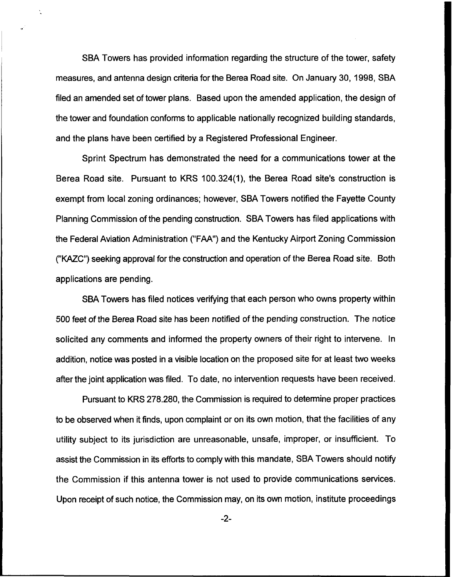SBA Towers has provided information regarding the structure of the tower, safety measures, and antenna design criteria for the Berea Road site. On January 30, 1998, SBA filed an amended set of tower plans. Based upon the amended application, the design of the tower and foundation conforms to applicable nationally recognized building standards, and the plans have been certified by a Registered Professional Engineer.

Sprint Spectrum has demonstrated the need for a communications tower at the Berea Road site. Pursuant to KRS 100.324(1), the Berea Road site's construction is exempt from local zoning ordinances; however, SBA Towers notified the Fayette County Planning Commission of the pending construction. SBA Towers has filed applications with the Federal Aviation Administration ("FAA") and the Kentucky Airport Zoning Commission ("KAZC") seeking approval for the construction and operation of the Berea Road site. Both applications are pending.

SBA Towers has filed notices verifying that each person who owns property within 500 feet of the Berea Road site has been notified of the pending construction. The notice solicited any comments and informed the property owners of their right to intervene. In addition, notice was posted in a visible location on the proposed site for at least two weeks after the joint application was filed. To date, no intervention requests have been received.

Pursuant to KRS 278.280, the Commission is required to determine proper practices to be observed when it finds, upon complaint or on its own motion, that the facilities of any utility subject to its jurisdiction are unreasonable, unsafe, improper, or insufficient. To assist the Commission in its efforts to comply with this mandate, SBA Towers should notify the Commission if this antenna tower is not used to provide communications services. Upon receipt of such notice, the Commission may, on its own motion, institute proceedings

 $-2-$